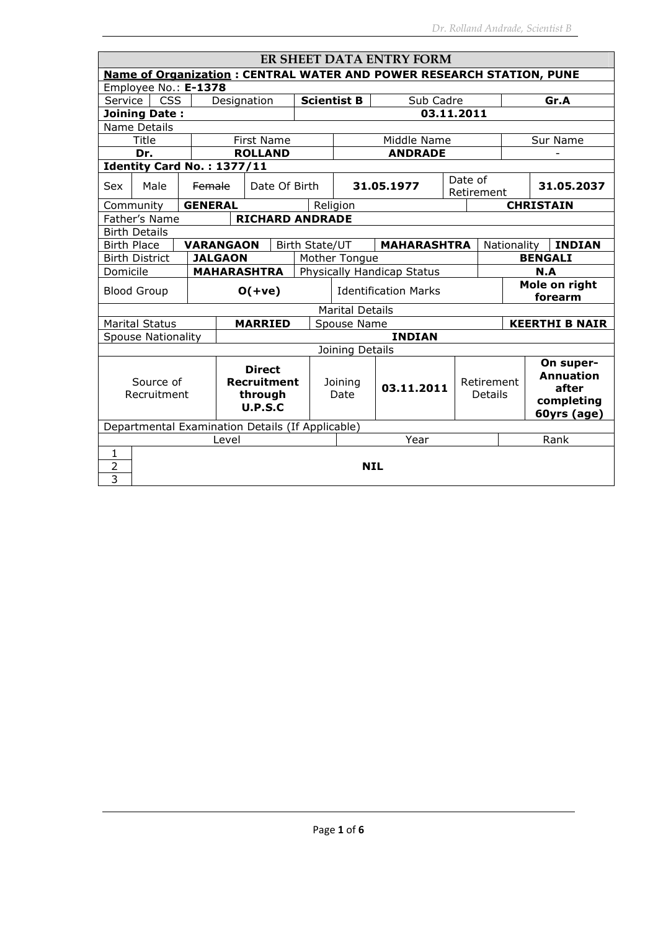| ER SHEET DATA ENTRY FORM                                                              |                                                  |  |                  |                               |                |                                         |                              |                       |                                                                     |             |                          |  |
|---------------------------------------------------------------------------------------|--------------------------------------------------|--|------------------|-------------------------------|----------------|-----------------------------------------|------------------------------|-----------------------|---------------------------------------------------------------------|-------------|--------------------------|--|
| <b>Name of Organization: CENTRAL WATER AND POWER RESEARCH STATION, PUNE</b>           |                                                  |  |                  |                               |                |                                         |                              |                       |                                                                     |             |                          |  |
| Employee No.: E-1378                                                                  |                                                  |  |                  |                               |                |                                         |                              |                       |                                                                     |             |                          |  |
| Service                                                                               | <b>CSS</b>                                       |  | Designation      |                               |                | <b>Scientist B</b><br>Sub Cadre<br>Gr.A |                              |                       |                                                                     |             |                          |  |
|                                                                                       | <b>Joining Date:</b>                             |  |                  |                               |                |                                         | 03.11.2011                   |                       |                                                                     |             |                          |  |
| Name Details                                                                          |                                                  |  |                  |                               |                |                                         |                              |                       |                                                                     |             |                          |  |
|                                                                                       | Title                                            |  |                  | <b>First Name</b>             |                |                                         | Middle Name                  |                       |                                                                     |             | Sur Name                 |  |
|                                                                                       | Dr.                                              |  |                  | <b>ROLLAND</b>                |                |                                         | <b>ANDRADE</b>               |                       |                                                                     |             |                          |  |
|                                                                                       | Identity Card No.: 1377/11                       |  |                  |                               |                |                                         |                              |                       |                                                                     |             |                          |  |
| Sex                                                                                   | Male                                             |  | Female           | Date Of Birth                 |                |                                         | 31.05.1977                   | Date of<br>Retirement |                                                                     |             | 31.05.2037               |  |
|                                                                                       | Community                                        |  | <b>GENERAL</b>   |                               |                | Religion                                |                              |                       |                                                                     |             | <b>CHRISTAIN</b>         |  |
|                                                                                       | Father's Name                                    |  |                  | <b>RICHARD ANDRADE</b>        |                |                                         |                              |                       |                                                                     |             |                          |  |
|                                                                                       | <b>Birth Details</b>                             |  |                  |                               |                |                                         |                              |                       |                                                                     |             |                          |  |
|                                                                                       | <b>Birth Place</b>                               |  | <b>VARANGAON</b> |                               | Birth State/UT | <b>MAHARASHTRA</b>                      |                              |                       |                                                                     | Nationality | <b>INDIAN</b>            |  |
|                                                                                       | <b>Birth District</b>                            |  | <b>JALGAON</b>   |                               |                | <b>BENGALI</b><br>Mother Tongue         |                              |                       |                                                                     |             |                          |  |
| Domicile                                                                              |                                                  |  |                  | <b>MAHARASHTRA</b>            |                | Physically Handicap Status<br>N.A       |                              |                       |                                                                     |             |                          |  |
|                                                                                       | <b>Blood Group</b>                               |  |                  | $O(+ve)$                      |                | <b>Identification Marks</b>             |                              |                       |                                                                     |             | Mole on right<br>forearm |  |
|                                                                                       |                                                  |  |                  |                               |                | <b>Marital Details</b>                  |                              |                       |                                                                     |             |                          |  |
|                                                                                       | <b>Marital Status</b>                            |  |                  | <b>MARRIED</b>                |                | Spouse Name                             |                              |                       |                                                                     |             | <b>KEERTHI B NAIR</b>    |  |
|                                                                                       | <b>Spouse Nationality</b>                        |  |                  |                               | <b>INDIAN</b>  |                                         |                              |                       |                                                                     |             |                          |  |
|                                                                                       |                                                  |  |                  |                               |                | Joining Details                         |                              |                       |                                                                     |             |                          |  |
| <b>Direct</b><br><b>Recruitment</b><br>Source of<br>Recruitment<br>through<br>U.P.S.C |                                                  |  |                  | Joining<br>03.11.2011<br>Date |                |                                         | Retirement<br><b>Details</b> |                       | On super-<br><b>Annuation</b><br>after<br>completing<br>60yrs (age) |             |                          |  |
|                                                                                       | Departmental Examination Details (If Applicable) |  |                  |                               |                |                                         |                              |                       |                                                                     |             |                          |  |
|                                                                                       |                                                  |  | Level            |                               |                |                                         | Year                         |                       |                                                                     |             | Rank                     |  |
| 1<br>2<br>3                                                                           | <b>NIL</b>                                       |  |                  |                               |                |                                         |                              |                       |                                                                     |             |                          |  |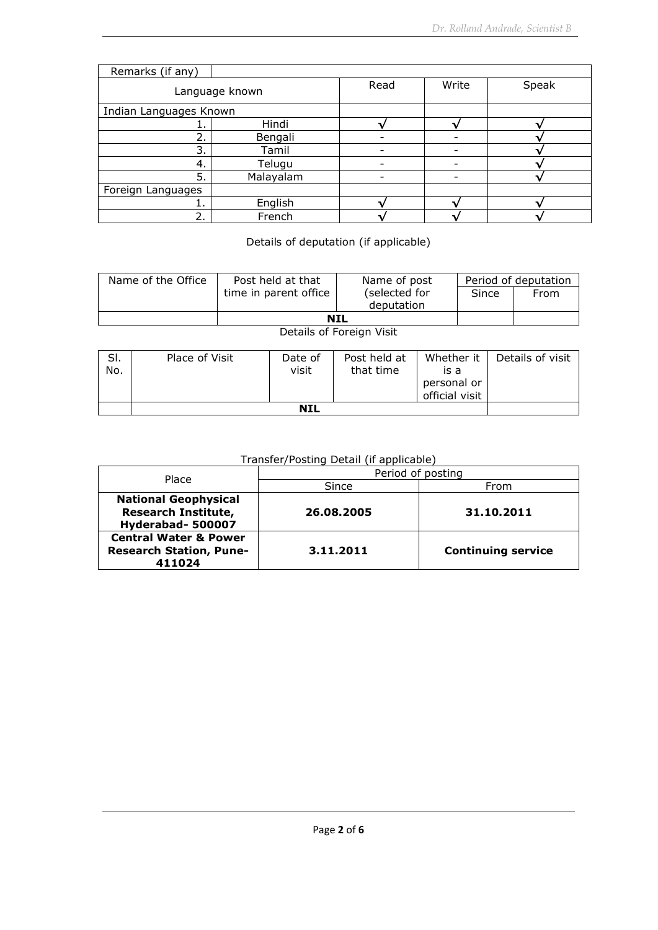| Remarks (if any)       |                |      |       |       |
|------------------------|----------------|------|-------|-------|
|                        | Language known | Read | Write | Speak |
| Indian Languages Known |                |      |       |       |
|                        | Hindi          |      |       |       |
| ว                      | Bengali        |      |       |       |
| 3.                     | Tamil          |      |       |       |
| -4.                    | Telugu         |      |       |       |
| 5.                     | Malayalam      |      |       |       |
| Foreign Languages      |                |      |       |       |
|                        | English        |      |       |       |
| 2.                     | French         |      |       |       |

Details of deputation (if applicable)

| Name of the Office | Post held at that     | Name of post                | Period of deputation |      |  |
|--------------------|-----------------------|-----------------------------|----------------------|------|--|
|                    | time in parent office | (selected for<br>deputation | Since                | From |  |
|                    | <b>NIL</b>            |                             |                      |      |  |

Details of Foreign Visit

| SI.<br>No. | Place of Visit | Date of<br>visit | Post held at<br>that time | Whether it<br>is a<br>personal or<br>official visit | Details of visit |
|------------|----------------|------------------|---------------------------|-----------------------------------------------------|------------------|
|            |                |                  |                           |                                                     |                  |

## Transfer/Posting Detail (if applicable)

| Place                                                                         | Period of posting |                           |  |  |  |  |
|-------------------------------------------------------------------------------|-------------------|---------------------------|--|--|--|--|
|                                                                               | Since             | From                      |  |  |  |  |
| <b>National Geophysical</b><br><b>Research Institute,</b><br>Hyderabad-500007 | 26.08.2005        | 31.10.2011                |  |  |  |  |
| <b>Central Water &amp; Power</b><br><b>Research Station, Pune-</b><br>411024  | 3.11.2011         | <b>Continuing service</b> |  |  |  |  |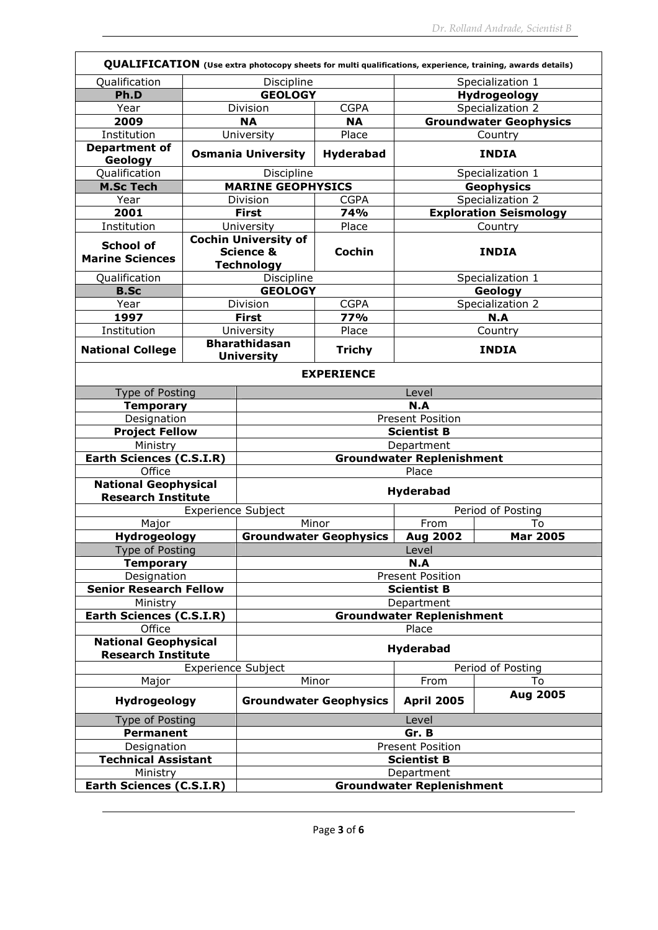| QUALIFICATION (Use extra photocopy sheets for multi qualifications, experience, training, awards details) |                           |                                           |                               |                         |                               |  |  |  |  |
|-----------------------------------------------------------------------------------------------------------|---------------------------|-------------------------------------------|-------------------------------|-------------------------|-------------------------------|--|--|--|--|
| Qualification                                                                                             |                           | Discipline                                |                               | Specialization 1        |                               |  |  |  |  |
| Ph.D                                                                                                      |                           | <b>GEOLOGY</b>                            |                               |                         | Hydrogeology                  |  |  |  |  |
| Year                                                                                                      |                           | Division                                  | <b>CGPA</b>                   |                         | Specialization 2              |  |  |  |  |
| 2009                                                                                                      |                           | <b>NA</b>                                 | <b>NA</b>                     |                         | <b>Groundwater Geophysics</b> |  |  |  |  |
| Institution                                                                                               |                           | University                                | Place                         |                         | Country                       |  |  |  |  |
| <b>Department of</b><br>Geology                                                                           |                           | <b>Osmania University</b>                 | Hyderabad                     |                         | <b>INDIA</b>                  |  |  |  |  |
| Qualification                                                                                             |                           | Discipline                                |                               |                         | Specialization 1              |  |  |  |  |
| <b>M.Sc Tech</b>                                                                                          |                           | <b>MARINE GEOPHYSICS</b>                  |                               |                         | <b>Geophysics</b>             |  |  |  |  |
| Year                                                                                                      |                           | <b>Division</b>                           | <b>CGPA</b>                   |                         | Specialization 2              |  |  |  |  |
| 2001                                                                                                      |                           | <b>First</b>                              | 74%                           |                         | <b>Exploration Seismology</b> |  |  |  |  |
| Institution                                                                                               |                           | University                                | Place                         |                         | Country                       |  |  |  |  |
| <b>School of</b>                                                                                          |                           | <b>Cochin University of</b>               |                               |                         |                               |  |  |  |  |
| <b>Marine Sciences</b>                                                                                    |                           | <b>Science &amp;</b>                      | Cochin                        |                         | <b>INDIA</b>                  |  |  |  |  |
|                                                                                                           |                           | <b>Technology</b>                         |                               |                         |                               |  |  |  |  |
| Qualification                                                                                             |                           | Discipline                                |                               |                         | Specialization 1              |  |  |  |  |
| <b>B.Sc</b>                                                                                               |                           | <b>GEOLOGY</b>                            |                               |                         | Geology                       |  |  |  |  |
| Year                                                                                                      |                           | Division                                  | <b>CGPA</b>                   |                         | Specialization 2              |  |  |  |  |
| 1997                                                                                                      |                           | <b>First</b>                              | 77%                           |                         | N.A                           |  |  |  |  |
| Institution                                                                                               |                           | University                                | Place                         |                         | Country                       |  |  |  |  |
| <b>National College</b>                                                                                   |                           | <b>Bharathidasan</b><br><b>University</b> | <b>Trichy</b>                 |                         | <b>INDIA</b>                  |  |  |  |  |
| <b>EXPERIENCE</b>                                                                                         |                           |                                           |                               |                         |                               |  |  |  |  |
| Type of Posting                                                                                           |                           | Level                                     |                               |                         |                               |  |  |  |  |
| <b>Temporary</b>                                                                                          |                           | N.A                                       |                               |                         |                               |  |  |  |  |
| Designation                                                                                               |                           |                                           |                               | <b>Present Position</b> |                               |  |  |  |  |
| <b>Project Fellow</b>                                                                                     |                           | <b>Scientist B</b>                        |                               |                         |                               |  |  |  |  |
| Ministry                                                                                                  |                           | Department                                |                               |                         |                               |  |  |  |  |
| Earth Sciences (C.S.I.R)                                                                                  |                           | Groundwater Replenishment                 |                               |                         |                               |  |  |  |  |
| Office                                                                                                    |                           | Place                                     |                               |                         |                               |  |  |  |  |
| <b>National Geophysical</b>                                                                               |                           | <b>Hyderabad</b>                          |                               |                         |                               |  |  |  |  |
| <b>Research Institute</b>                                                                                 |                           |                                           |                               |                         |                               |  |  |  |  |
|                                                                                                           | <b>Experience Subject</b> |                                           |                               |                         | Period of Posting             |  |  |  |  |
| Major                                                                                                     |                           |                                           | Minor                         | From                    | To                            |  |  |  |  |
| Hydrogeology                                                                                              |                           |                                           | <b>Groundwater Geophysics</b> | <b>Aug 2002</b>         | <b>Mar 2005</b>               |  |  |  |  |
| <b>Type of Posting</b>                                                                                    |                           | Level                                     |                               |                         |                               |  |  |  |  |
| <b>Temporary</b>                                                                                          |                           | N.A                                       |                               |                         |                               |  |  |  |  |
| Designation                                                                                               |                           | <b>Present Position</b>                   |                               |                         |                               |  |  |  |  |
| <b>Senior Research Fellow</b>                                                                             |                           | <b>Scientist B</b>                        |                               |                         |                               |  |  |  |  |
| Ministry                                                                                                  |                           | Department                                |                               |                         |                               |  |  |  |  |
| Earth Sciences (C.S.I.R)<br>Office                                                                        |                           | <b>Groundwater Replenishment</b><br>Place |                               |                         |                               |  |  |  |  |
| <b>National Geophysical</b><br><b>Research Institute</b>                                                  |                           | <b>Hyderabad</b>                          |                               |                         |                               |  |  |  |  |
|                                                                                                           | <b>Experience Subject</b> |                                           |                               |                         | Period of Posting             |  |  |  |  |
| Major                                                                                                     |                           |                                           | Minor                         | From                    | To                            |  |  |  |  |
| Hydrogeology                                                                                              |                           |                                           | <b>Groundwater Geophysics</b> | <b>April 2005</b>       | Aug 2005                      |  |  |  |  |
| Type of Posting                                                                                           |                           | Level                                     |                               |                         |                               |  |  |  |  |
| <b>Permanent</b>                                                                                          |                           | Gr. B                                     |                               |                         |                               |  |  |  |  |
| Designation                                                                                               |                           | <b>Present Position</b>                   |                               |                         |                               |  |  |  |  |
| <b>Technical Assistant</b>                                                                                |                           | <b>Scientist B</b>                        |                               |                         |                               |  |  |  |  |
| Ministry                                                                                                  |                           | Department                                |                               |                         |                               |  |  |  |  |
| Earth Sciences (C.S.I.R)                                                                                  |                           | <b>Groundwater Replenishment</b>          |                               |                         |                               |  |  |  |  |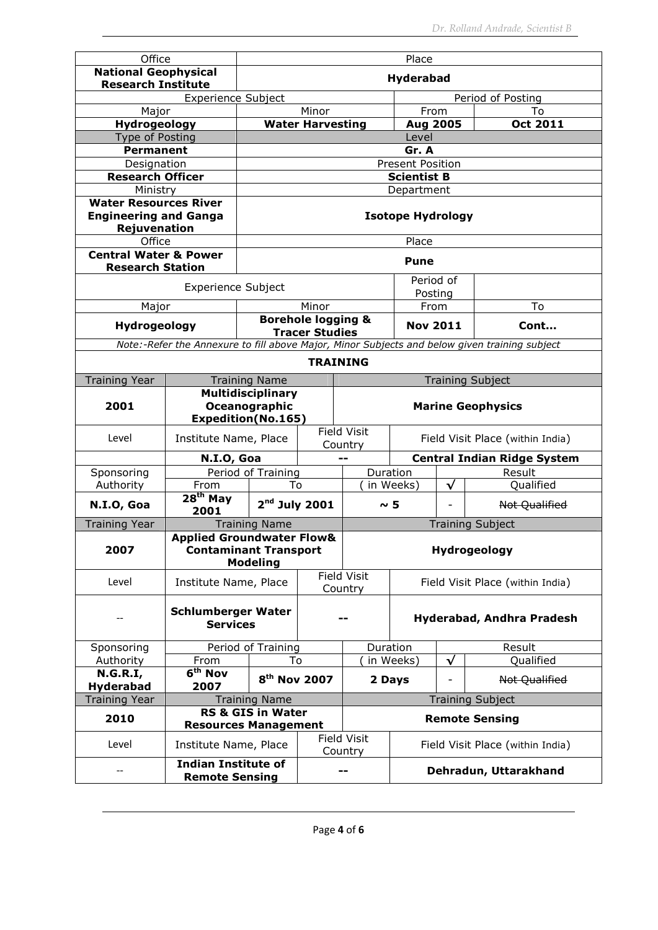| Office                                                                       |                                                     | Place                                     |                                                                      |                               |                                                                                               |                                    |                                  |  |  |
|------------------------------------------------------------------------------|-----------------------------------------------------|-------------------------------------------|----------------------------------------------------------------------|-------------------------------|-----------------------------------------------------------------------------------------------|------------------------------------|----------------------------------|--|--|
| <b>National Geophysical</b><br><b>Research Institute</b>                     |                                                     | Hyderabad                                 |                                                                      |                               |                                                                                               |                                    |                                  |  |  |
|                                                                              | Experience Subject                                  |                                           |                                                                      |                               |                                                                                               |                                    | Period of Posting                |  |  |
| Major                                                                        |                                                     |                                           | Minor                                                                |                               | From                                                                                          |                                    | To                               |  |  |
| Hydrogeology                                                                 |                                                     |                                           | <b>Water Harvesting</b>                                              |                               | Aug 2005                                                                                      |                                    | <b>Oct 2011</b>                  |  |  |
| Type of Posting<br><b>Permanent</b>                                          |                                                     |                                           |                                                                      |                               | Level<br>Gr. A                                                                                |                                    |                                  |  |  |
| Designation                                                                  |                                                     |                                           |                                                                      |                               | <b>Present Position</b>                                                                       |                                    |                                  |  |  |
| <b>Research Officer</b>                                                      |                                                     |                                           |                                                                      |                               | <b>Scientist B</b>                                                                            |                                    |                                  |  |  |
| Ministry                                                                     |                                                     |                                           |                                                                      |                               | Department                                                                                    |                                    |                                  |  |  |
| <b>Water Resources River</b><br><b>Engineering and Ganga</b><br>Rejuvenation |                                                     |                                           |                                                                      |                               | <b>Isotope Hydrology</b>                                                                      |                                    |                                  |  |  |
| Office                                                                       |                                                     |                                           |                                                                      |                               | Place                                                                                         |                                    |                                  |  |  |
| <b>Central Water &amp; Power</b><br><b>Research Station</b>                  |                                                     |                                           |                                                                      |                               | <b>Pune</b>                                                                                   |                                    |                                  |  |  |
|                                                                              | <b>Experience Subject</b>                           |                                           |                                                                      |                               | Posting                                                                                       | Period of                          |                                  |  |  |
| Major                                                                        |                                                     |                                           | Minor                                                                |                               | From                                                                                          |                                    | To                               |  |  |
| Hydrogeology                                                                 |                                                     | <b>Borehole logging &amp;</b>             | <b>Tracer Studies</b>                                                |                               | <b>Nov 2011</b>                                                                               |                                    | Cont                             |  |  |
|                                                                              |                                                     |                                           |                                                                      |                               | Note:-Refer the Annexure to fill above Major, Minor Subjects and below given training subject |                                    |                                  |  |  |
| <b>TRAINING</b>                                                              |                                                     |                                           |                                                                      |                               |                                                                                               |                                    |                                  |  |  |
| <b>Training Year</b>                                                         |                                                     | <b>Training Name</b>                      |                                                                      |                               |                                                                                               |                                    | <b>Training Subject</b>          |  |  |
| 2001                                                                         | <b>Expedition(No.165)</b>                           | <b>Multidisciplinary</b><br>Oceanographic | <b>Marine Geophysics</b>                                             |                               |                                                                                               |                                    |                                  |  |  |
| Level                                                                        | Institute Name, Place                               |                                           |                                                                      | <b>Field Visit</b><br>Country | Field Visit Place (within India)                                                              |                                    |                                  |  |  |
|                                                                              | N.I.O, Goa                                          |                                           |                                                                      |                               |                                                                                               | <b>Central Indian Ridge System</b> |                                  |  |  |
| Sponsoring                                                                   |                                                     | Period of Training                        |                                                                      |                               | Duration                                                                                      | Result                             |                                  |  |  |
| Authority                                                                    | From                                                | To                                        |                                                                      |                               | in Weeks)                                                                                     | √                                  | Qualified                        |  |  |
| N.I.O, Goa                                                                   | $28th$ May<br>2001                                  | $2nd$ July 2001                           |                                                                      | $\sim$ 5                      |                                                                                               | Not Qualified                      |                                  |  |  |
| <b>Training Year</b>                                                         |                                                     | <b>Training Name</b>                      |                                                                      |                               |                                                                                               |                                    | <b>Training Subject</b>          |  |  |
| 2007                                                                         |                                                     | <b>Modeling</b>                           | <b>Applied Groundwater Flow&amp;</b><br><b>Contaminant Transport</b> |                               |                                                                                               |                                    | Hydrogeology                     |  |  |
| Level                                                                        | Institute Name, Place                               |                                           |                                                                      | <b>Field Visit</b><br>Country | Field Visit Place (within India)                                                              |                                    |                                  |  |  |
|                                                                              | <b>Schlumberger Water</b><br><b>Services</b>        |                                           |                                                                      |                               |                                                                                               | Hyderabad, Andhra Pradesh          |                                  |  |  |
| Sponsoring                                                                   |                                                     | Period of Training                        |                                                                      |                               | Duration                                                                                      |                                    | Result                           |  |  |
| Authority                                                                    | From<br>To                                          |                                           |                                                                      |                               | in Weeks)                                                                                     | $\checkmark$                       | Qualified                        |  |  |
| N.G.R.I,<br><b>Hyderabad</b>                                                 | 6 <sup>th</sup> Nov<br>2007                         | 8 <sup>th</sup> Nov 2007                  |                                                                      |                               | 2 Days                                                                                        | -                                  | Not Qualified                    |  |  |
| <b>Training Year</b>                                                         |                                                     | <b>Training Name</b>                      |                                                                      |                               |                                                                                               |                                    | <b>Training Subject</b>          |  |  |
| 2010                                                                         | <b>Resources Management</b>                         | <b>RS &amp; GIS in Water</b>              |                                                                      |                               |                                                                                               | <b>Remote Sensing</b>              |                                  |  |  |
| Level                                                                        | Institute Name, Place                               |                                           |                                                                      | <b>Field Visit</b><br>Country |                                                                                               |                                    | Field Visit Place (within India) |  |  |
|                                                                              | <b>Indian Institute of</b><br><b>Remote Sensing</b> |                                           |                                                                      |                               |                                                                                               |                                    | Dehradun, Uttarakhand            |  |  |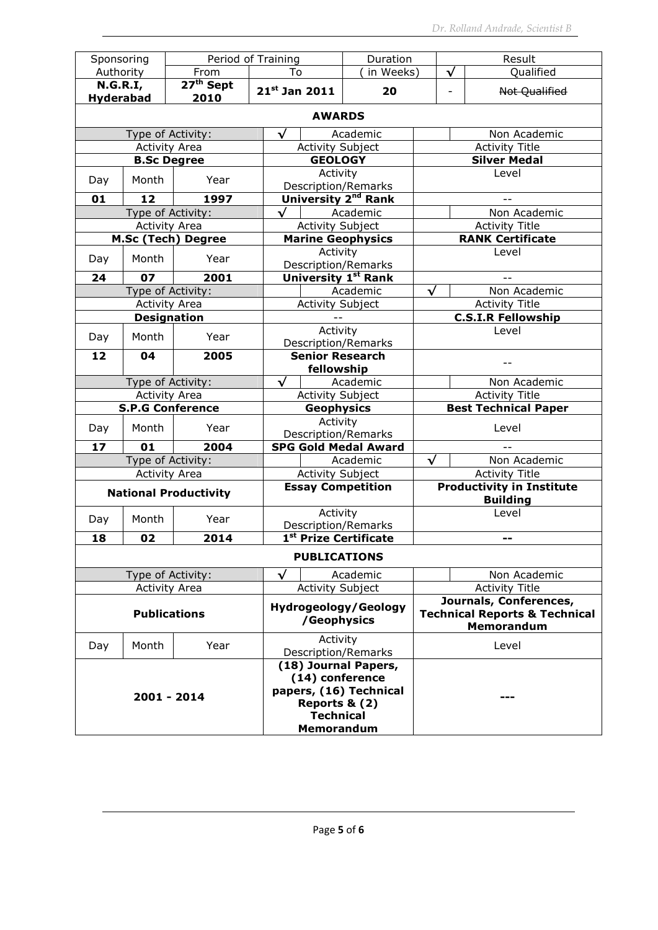| Sponsoring                          |                         |                               |                                      | Period of Training                |                         | Duration                        |                                                     |                       | Result                                                             |  |
|-------------------------------------|-------------------------|-------------------------------|--------------------------------------|-----------------------------------|-------------------------|---------------------------------|-----------------------------------------------------|-----------------------|--------------------------------------------------------------------|--|
| Authority                           |                         | From                          |                                      | To                                |                         | in Weeks)                       |                                                     | √                     | Qualified                                                          |  |
| <b>N.G.R.I,</b><br><b>Hyderabad</b> |                         | 27 <sup>th</sup> Sept<br>2010 |                                      | $21^{st}$ Jan 2011                |                         | 20                              |                                                     | $\overline{a}$        | Not Qualified                                                      |  |
|                                     |                         |                               |                                      |                                   | <b>AWARDS</b>           |                                 |                                                     |                       |                                                                    |  |
|                                     | Type of Activity:       |                               |                                      | $\checkmark$<br>Academic          |                         |                                 |                                                     |                       | Non Academic                                                       |  |
|                                     | <b>Activity Area</b>    |                               |                                      | <b>Activity Subject</b>           |                         |                                 |                                                     |                       | <b>Activity Title</b>                                              |  |
|                                     | <b>B.Sc Degree</b>      |                               |                                      |                                   | <b>GEOLOGY</b>          |                                 |                                                     |                       | <b>Silver Medal</b>                                                |  |
| Day                                 | Month                   | Year                          |                                      |                                   | Activity                | <b>Description/Remarks</b>      |                                                     | Level                 |                                                                    |  |
| 01                                  | 12                      | 1997                          |                                      |                                   |                         | University 2 <sup>nd</sup> Rank |                                                     |                       |                                                                    |  |
|                                     | Type of Activity:       |                               |                                      |                                   |                         | Academic                        |                                                     |                       | Non Academic                                                       |  |
|                                     | <b>Activity Area</b>    |                               |                                      |                                   | Activity Subject        |                                 |                                                     |                       | <b>Activity Title</b>                                              |  |
|                                     |                         | <b>M.Sc (Tech) Degree</b>     |                                      |                                   |                         | <b>Marine Geophysics</b>        |                                                     |                       | <b>RANK Certificate</b>                                            |  |
| Day                                 | Month                   | Year                          |                                      |                                   | Activity                | <b>Description/Remarks</b>      |                                                     |                       | Level                                                              |  |
| 24                                  | 07                      | 2001                          |                                      |                                   |                         | <b>University 1st Rank</b>      |                                                     |                       |                                                                    |  |
|                                     | Type of Activity:       |                               |                                      |                                   |                         | Academic                        | $\checkmark$                                        |                       | Non Academic                                                       |  |
|                                     | <b>Activity Area</b>    |                               |                                      |                                   | <b>Activity Subject</b> |                                 |                                                     |                       | <b>Activity Title</b>                                              |  |
| <b>Designation</b>                  |                         |                               |                                      |                                   |                         |                                 | <b>C.S.I.R Fellowship</b>                           |                       |                                                                    |  |
|                                     |                         |                               |                                      | Activity                          |                         |                                 | Level                                               |                       |                                                                    |  |
| Day                                 | Month                   | Year                          |                                      | <b>Description/Remarks</b>        |                         |                                 |                                                     |                       |                                                                    |  |
| 04<br>2005<br>12                    |                         |                               | <b>Senior Research</b><br>fellowship |                                   |                         |                                 |                                                     |                       |                                                                    |  |
|                                     | Type of Activity:       |                               |                                      | $\checkmark$                      |                         | Academic                        |                                                     |                       | Non Academic                                                       |  |
|                                     | <b>Activity Area</b>    |                               |                                      |                                   | <b>Activity Subject</b> |                                 |                                                     |                       | <b>Activity Title</b>                                              |  |
|                                     | <b>S.P.G Conference</b> |                               |                                      | <b>Geophysics</b>                 |                         |                                 |                                                     |                       | <b>Best Technical Paper</b>                                        |  |
|                                     |                         |                               |                                      | Activity                          |                         |                                 |                                                     |                       |                                                                    |  |
| Day                                 | Month                   | Year                          |                                      |                                   |                         | Description/Remarks             |                                                     |                       | Level                                                              |  |
| 17                                  | 01                      | 2004                          |                                      |                                   |                         | <b>SPG Gold Medal Award</b>     |                                                     |                       |                                                                    |  |
|                                     | Type of Activity:       |                               |                                      |                                   |                         | Academic                        | √                                                   |                       | Non Academic                                                       |  |
|                                     | <b>Activity Area</b>    |                               |                                      | <b>Activity Subject</b>           |                         |                                 |                                                     |                       | <b>Activity Title</b>                                              |  |
|                                     |                         | <b>National Productivity</b>  |                                      | <b>Essay Competition</b>          |                         |                                 | <b>Productivity in Institute</b><br><b>Building</b> |                       |                                                                    |  |
|                                     |                         |                               |                                      | Activity                          |                         |                                 | Level                                               |                       |                                                                    |  |
| Day                                 | Month                   | Year                          |                                      | Description/Remarks               |                         |                                 |                                                     |                       |                                                                    |  |
| 18                                  | 02                      | 2014                          |                                      | 1 <sup>st</sup> Prize Certificate |                         |                                 |                                                     |                       |                                                                    |  |
|                                     |                         |                               |                                      |                                   | <b>PUBLICATIONS</b>     |                                 |                                                     |                       |                                                                    |  |
|                                     | Type of Activity:       |                               |                                      | $\checkmark$                      |                         | Academic                        |                                                     |                       | Non Academic                                                       |  |
|                                     | <b>Activity Area</b>    |                               |                                      |                                   | <b>Activity Subject</b> |                                 |                                                     | <b>Activity Title</b> |                                                                    |  |
| <b>Publications</b>                 |                         |                               |                                      |                                   |                         | <b>Hydrogeology/Geology</b>     |                                                     |                       | Journals, Conferences,<br><b>Technical Reports &amp; Technical</b> |  |
|                                     |                         |                               |                                      |                                   | /Geophysics             |                                 |                                                     |                       | <b>Memorandum</b>                                                  |  |
| Day                                 | Month                   | Year                          |                                      | Activity<br>Description/Remarks   |                         |                                 |                                                     | Level                 |                                                                    |  |
|                                     |                         |                               |                                      |                                   |                         | (18) Journal Papers,            |                                                     |                       |                                                                    |  |
|                                     |                         |                               |                                      |                                   | (14) conference         |                                 |                                                     |                       |                                                                    |  |
|                                     | 2001 - 2014             |                               |                                      |                                   |                         | papers, (16) Technical          |                                                     |                       |                                                                    |  |
|                                     |                         |                               |                                      |                                   | Reports & (2)           |                                 |                                                     |                       |                                                                    |  |
|                                     |                         |                               |                                      |                                   | <b>Technical</b>        |                                 |                                                     |                       |                                                                    |  |
|                                     |                         |                               |                                      | <b>Memorandum</b>                 |                         |                                 |                                                     |                       |                                                                    |  |